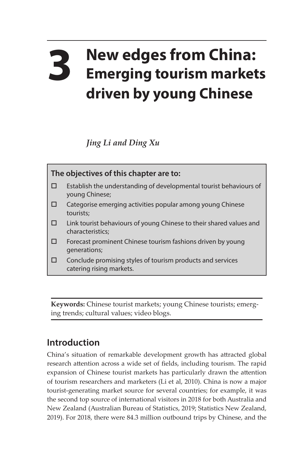## **3 New edges from China: Emerging tourism markets driven by young Chinese**

*Jing Li and Ding Xu*



**Keywords:** Chinese tourist markets; young Chinese tourists; emerging trends; cultural values; video blogs.

## **Introduction**

China's situation of remarkable development growth has attracted global research attention across a wide set of fields, including tourism. The rapid expansion of Chinese tourist markets has particularly drawn the attention of tourism researchers and marketers (Li et al, 2010). China is now a major tourist-generating market source for several countries; for example, it was the second top source of international visitors in 2018 for both Australia and New Zealand (Australian Bureau of Statistics, 2019; Statistics New Zealand, 2019). For 2018, there were 84.3 million outbound trips by Chinese, and the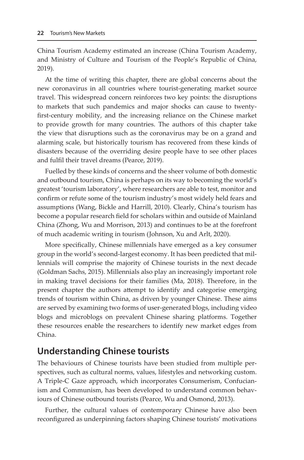China Tourism Academy estimated an increase (China Tourism Academy, and Ministry of Culture and Tourism of the People's Republic of China, 2019).

At the time of writing this chapter, there are global concerns about the new coronavirus in all countries where tourist-generating market source travel. This widespread concern reinforces two key points: the disruptions to markets that such pandemics and major shocks can cause to twentyfirst-century mobility, and the increasing reliance on the Chinese market to provide growth for many countries. The authors of this chapter take the view that disruptions such as the coronavirus may be on a grand and alarming scale, but historically tourism has recovered from these kinds of disasters because of the overriding desire people have to see other places and fulfil their travel dreams (Pearce, 2019).

Fuelled by these kinds of concerns and the sheer volume of both domestic and outbound tourism, China is perhaps on its way to becoming the world's greatest 'tourism laboratory', where researchers are able to test, monitor and confirm or refute some of the tourism industry's most widely held fears and assumptions (Wang, Bickle and Harrill, 2010). Clearly, China's tourism has become a popular research field for scholars within and outside of Mainland China (Zhong, Wu and Morrison, 2013) and continues to be at the forefront of much academic writing in tourism (Johnson, Xu and Arlt, 2020).

More specifically, Chinese millennials have emerged as a key consumer group in the world's second-largest economy. It has been predicted that millennials will comprise the majority of Chinese tourists in the next decade (Goldman Sachs, 2015). Millennials also play an increasingly important role in making travel decisions for their families (Ma, 2018). Therefore, in the present chapter the authors attempt to identify and categorise emerging trends of tourism within China, as driven by younger Chinese. These aims are served by examining two forms of user-generated blogs, including video blogs and microblogs on prevalent Chinese sharing platforms. Together these resources enable the researchers to identify new market edges from China.

## **Understanding Chinese tourists**

The behaviours of Chinese tourists have been studied from multiple perspectives, such as cultural norms, values, lifestyles and networking custom. A Triple-C Gaze approach, which incorporates Consumerism, Confucianism and Communism, has been developed to understand common behaviours of Chinese outbound tourists (Pearce, Wu and Osmond, 2013).

Further, the cultural values of contemporary Chinese have also been reconfigured as underpinning factors shaping Chinese tourists' motivations